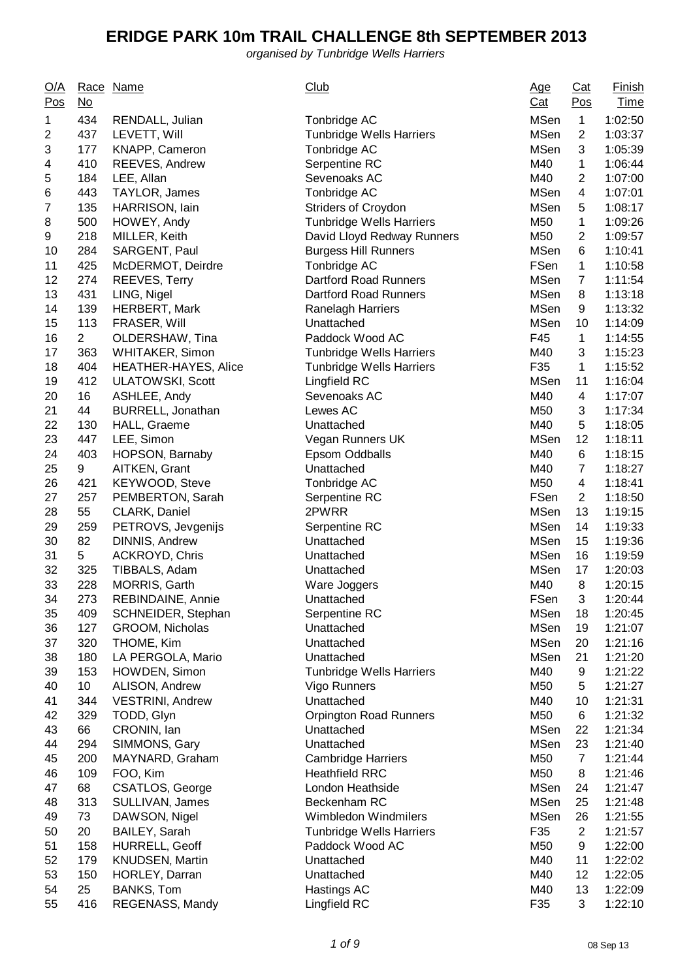| Q/A<br>Pos | <u>No</u>       | Race Name                                       | <b>Club</b>                                        | <u>Age</u><br>Cat          | $Cat$<br>Pos         | <b>Finish</b><br><b>Time</b> |
|------------|-----------------|-------------------------------------------------|----------------------------------------------------|----------------------------|----------------------|------------------------------|
| 1          | 434             | RENDALL, Julian                                 | Tonbridge AC                                       | <b>MSen</b>                | 1                    | 1:02:50                      |
| 2          | 437             | LEVETT, Will                                    | <b>Tunbridge Wells Harriers</b>                    | <b>MSen</b>                | $\overline{c}$       | 1:03:37                      |
| 3          | 177             | KNAPP, Cameron                                  | Tonbridge AC                                       | <b>MSen</b>                | 3                    | 1:05:39                      |
| 4          | 410             | REEVES, Andrew                                  | Serpentine RC                                      | M40                        | $\mathbf{1}$         | 1:06:44                      |
| 5          | 184             | LEE, Allan                                      | Sevenoaks AC                                       | M40                        | $\overline{2}$       | 1:07:00                      |
| 6          | 443             | TAYLOR, James                                   | Tonbridge AC                                       | <b>MSen</b>                | 4                    | 1:07:01                      |
| 7          | 135             | HARRISON, lain                                  | <b>Striders of Croydon</b>                         | <b>MSen</b>                | 5                    | 1:08:17                      |
| 8          | 500             | HOWEY, Andy                                     | <b>Tunbridge Wells Harriers</b>                    | M50                        | $\mathbf 1$          | 1:09:26                      |
| 9          | 218             | MILLER, Keith                                   | David Lloyd Redway Runners                         | M50                        | $\overline{2}$       | 1:09:57                      |
| 10         | 284             | SARGENT, Paul                                   | <b>Burgess Hill Runners</b>                        | <b>MSen</b>                | 6                    | 1:10:41                      |
| 11         | 425             | McDERMOT, Deirdre                               | Tonbridge AC                                       | FSen                       | $\mathbf{1}$         | 1:10:58                      |
| 12         | 274             | <b>REEVES, Terry</b>                            | <b>Dartford Road Runners</b>                       | <b>MSen</b>                | 7                    | 1:11:54                      |
| 13         | 431             | LING, Nigel                                     | Dartford Road Runners                              | <b>MSen</b>                | 8                    | 1:13:18                      |
| 14         | 139             | <b>HERBERT, Mark</b>                            | <b>Ranelagh Harriers</b>                           | <b>MSen</b>                | 9                    | 1:13:32                      |
| 15         | 113             | FRASER, Will                                    | Unattached                                         | <b>MSen</b>                | 10                   | 1:14:09                      |
| 16         | $\overline{2}$  | OLDERSHAW, Tina                                 | Paddock Wood AC                                    | F45                        | $\mathbf{1}$         | 1:14:55                      |
| 17         | 363             | <b>WHITAKER, Simon</b>                          | <b>Tunbridge Wells Harriers</b>                    | M40                        | 3                    | 1:15:23                      |
| 18         | 404             | HEATHER-HAYES, Alice                            | <b>Tunbridge Wells Harriers</b>                    | F35                        | $\mathbf 1$          | 1:15:52                      |
| 19         | 412             | <b>ULATOWSKI, Scott</b>                         | Lingfield RC                                       | <b>MSen</b>                | 11                   | 1:16:04                      |
| 20         | 16              | ASHLEE, Andy                                    | Sevenoaks AC                                       | M40                        | 4                    | 1:17:07                      |
| 21         | 44              | BURRELL, Jonathan                               | Lewes AC                                           | M50                        | 3                    | 1:17:34                      |
| 22         | 130             | HALL, Graeme                                    | Unattached                                         | M40                        | 5                    | 1:18:05                      |
| 23         | 447             | LEE, Simon                                      | Vegan Runners UK                                   | <b>MSen</b>                | 12                   | 1:18:11                      |
| 24         | 403             | HOPSON, Barnaby                                 | Epsom Oddballs                                     | M40                        | 6                    | 1:18:15                      |
| 25         | 9               | AITKEN, Grant                                   | Unattached                                         | M40                        | $\overline{7}$       | 1:18:27                      |
| 26         | 421             | KEYWOOD, Steve                                  | Tonbridge AC                                       | M50                        | 4                    | 1:18:41                      |
| 27         | 257             | PEMBERTON, Sarah                                | Serpentine RC                                      | FSen                       | $\overline{2}$       | 1:18:50                      |
| 28         | 55              | CLARK, Daniel                                   | 2PWRR                                              | <b>MSen</b>                | 13                   | 1:19:15                      |
| 29         | 259             | PETROVS, Jevgenijs                              | Serpentine RC                                      | <b>MSen</b>                | 14                   | 1:19:33                      |
| 30         | 82              | DINNIS, Andrew                                  | Unattached                                         | <b>MSen</b>                | 15                   | 1:19:36                      |
| 31         | 5               | <b>ACKROYD, Chris</b>                           | Unattached                                         | <b>MSen</b>                | 16                   | 1:19:59                      |
| 32         | 325             | TIBBALS, Adam                                   | Unattached                                         | <b>MSen</b>                | 17                   | 1:20:03                      |
| 33         | 228             | <b>MORRIS, Garth</b>                            | Ware Joggers                                       | M40                        | 8                    | 1:20:15                      |
| 34         | 273             | REBINDAINE, Annie                               | Unattached                                         | FSen                       | 3                    | 1:20:44                      |
| 35         | 409             | SCHNEIDER, Stephan                              | Serpentine RC                                      | <b>MSen</b>                | 18                   | 1:20:45                      |
| 36         | 127             | GROOM, Nicholas                                 | Unattached                                         | <b>MSen</b>                | 19                   | 1:21:07                      |
| 37         | 320             | THOME, Kim                                      | Unattached                                         | <b>MSen</b>                | 20                   | 1:21:16                      |
| 38         | 180             | LA PERGOLA, Mario                               | Unattached                                         | <b>MSen</b>                | 21                   | 1:21:20                      |
| 39         | 153             | HOWDEN, Simon                                   | <b>Tunbridge Wells Harriers</b>                    | M40                        | 9                    | 1:21:22                      |
| 40         | 10 <sup>1</sup> | ALISON, Andrew                                  | Vigo Runners                                       | M50                        | 5                    | 1:21:27                      |
| 41         | 344             | <b>VESTRINI, Andrew</b>                         | Unattached                                         | M40                        | 10                   | 1:21:31                      |
| 42         | 329             | TODD, Glyn                                      | <b>Orpington Road Runners</b>                      | M50                        | 6                    | 1:21:32                      |
| 43         | 66              | CRONIN, Ian                                     | Unattached                                         | <b>MSen</b><br><b>MSen</b> | 22                   | 1:21:34                      |
| 44         | 294             | SIMMONS, Gary                                   | Unattached                                         |                            | 23                   | 1:21:40                      |
| 45         | 200             | MAYNARD, Graham                                 | <b>Cambridge Harriers</b>                          | M50                        | $\overline{7}$       | 1:21:44                      |
| 46         | 109             | FOO, Kim                                        | <b>Heathfield RRC</b><br>London Heathside          | M50                        | 8                    | 1:21:46                      |
| 47<br>48   | 68<br>313       | <b>CSATLOS, George</b>                          | Beckenham RC                                       | <b>MSen</b><br><b>MSen</b> | 24                   | 1:21:47<br>1:21:48           |
|            | 73              | SULLIVAN, James                                 |                                                    | <b>MSen</b>                | 25                   |                              |
| 49         |                 | DAWSON, Nigel                                   | Wimbledon Windmilers                               | F35                        | 26<br>$\overline{2}$ | 1:21:55                      |
| 50<br>51   | 20<br>158       | BAILEY, Sarah                                   | <b>Tunbridge Wells Harriers</b><br>Paddock Wood AC | M50                        | 9                    | 1:21:57                      |
| 52         | 179             | <b>HURRELL, Geoff</b><br><b>KNUDSEN, Martin</b> | Unattached                                         | M40                        | 11                   | 1:22:00                      |
| 53         | 150             | HORLEY, Darran                                  |                                                    | M40                        | 12                   | 1:22:02<br>1:22:05           |
| 54         | 25              | <b>BANKS, Tom</b>                               | Unattached<br>Hastings AC                          | M40                        | 13                   | 1:22:09                      |
| 55         | 416             | REGENASS, Mandy                                 | Lingfield RC                                       | F35                        | 3                    | 1:22:10                      |
|            |                 |                                                 |                                                    |                            |                      |                              |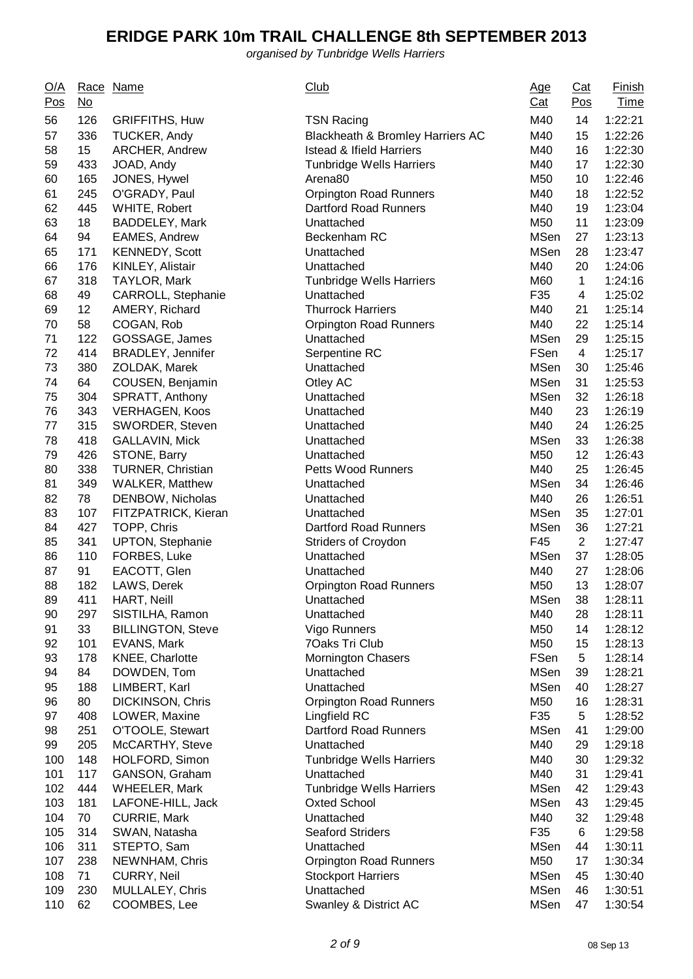| <u>O/A</u><br>Pos | $\underline{\mathsf{No}}$ | Race Name                            | <b>Club</b>                             | <u>Age</u><br><u>Cat</u> | Cat<br>$\underline{\text{Pos}}$ | <u>Finish</u><br><b>Time</b> |
|-------------------|---------------------------|--------------------------------------|-----------------------------------------|--------------------------|---------------------------------|------------------------------|
| 56                | 126                       | <b>GRIFFITHS, Huw</b>                | <b>TSN Racing</b>                       | M40                      | 14                              | 1:22:21                      |
| 57                | 336                       | <b>TUCKER, Andy</b>                  | Blackheath & Bromley Harriers AC        | M40                      | 15                              | 1:22:26                      |
| 58                | 15 <sub>1</sub>           | ARCHER, Andrew                       | <b>Istead &amp; Ifield Harriers</b>     | M40                      | 16                              | 1:22:30                      |
| 59                | 433                       | JOAD, Andy                           | <b>Tunbridge Wells Harriers</b>         | M40                      | 17                              | 1:22:30                      |
| 60                | 165                       | JONES, Hywel                         | Arena <sub>80</sub>                     | M50                      | 10                              | 1:22:46                      |
| 61                | 245                       | O'GRADY, Paul                        | <b>Orpington Road Runners</b>           | M40                      | 18                              | 1:22:52                      |
| 62                | 445                       | WHITE, Robert                        | Dartford Road Runners                   | M40                      | 19                              | 1:23:04                      |
| 63                | 18                        | BADDELEY, Mark                       | Unattached                              | M50                      | 11                              | 1:23:09                      |
| 64                | 94                        | <b>EAMES, Andrew</b>                 | Beckenham RC                            | <b>MSen</b>              | 27                              | 1:23:13                      |
| 65                | 171                       | <b>KENNEDY, Scott</b>                | Unattached                              | <b>MSen</b>              | 28                              | 1:23:47                      |
| 66                | 176                       | KINLEY, Alistair                     | Unattached                              | M40                      | 20                              | 1:24:06                      |
| 67                | 318                       | TAYLOR, Mark                         | <b>Tunbridge Wells Harriers</b>         | M60                      | $\mathbf{1}$                    | 1:24:16                      |
| 68                | 49                        | CARROLL, Stephanie                   | Unattached                              | F35                      | 4                               | 1:25:02                      |
| 69                | 12                        | AMERY, Richard                       | <b>Thurrock Harriers</b>                | M40                      | 21                              | 1:25:14                      |
| 70                | 58                        | COGAN, Rob                           | <b>Orpington Road Runners</b>           | M40                      | 22                              | 1:25:14                      |
| 71                | 122                       | GOSSAGE, James                       | Unattached                              | <b>MSen</b>              | 29                              | 1:25:15                      |
| 72                | 414                       | BRADLEY, Jennifer                    | Serpentine RC                           | FSen                     | 4                               | 1:25:17                      |
| 73                | 380                       | ZOLDAK, Marek                        | Unattached                              | <b>MSen</b>              | 30                              | 1:25:46                      |
| 74                | 64                        | COUSEN, Benjamin                     | Otley AC                                | <b>MSen</b>              | 31                              | 1:25:53                      |
| 75                | 304                       | SPRATT, Anthony                      | Unattached                              | <b>MSen</b>              | 32                              | 1:26:18                      |
| 76                | 343                       | <b>VERHAGEN, Koos</b>                | Unattached                              | M40                      | 23                              | 1:26:19                      |
| 77                | 315                       | SWORDER, Steven                      | Unattached                              | M40                      | 24                              | 1:26:25                      |
| 78                | 418                       | <b>GALLAVIN, Mick</b>                | Unattached                              | <b>MSen</b>              | 33                              | 1:26:38                      |
| 79                | 426                       | STONE, Barry                         | Unattached                              | M50                      | 12                              | 1:26:43                      |
| 80                | 338                       | <b>TURNER, Christian</b>             | <b>Petts Wood Runners</b>               | M40                      | 25                              | 1:26:45                      |
| 81                | 349                       | <b>WALKER, Matthew</b>               | Unattached                              | <b>MSen</b>              | 34                              | 1:26:46                      |
| 82                | 78                        | DENBOW, Nicholas                     | Unattached                              | M40                      | 26                              | 1:26:51                      |
| 83                | 107                       | FITZPATRICK, Kieran                  | Unattached                              | <b>MSen</b>              | 35                              | 1:27:01                      |
| 84                | 427                       | TOPP, Chris                          | <b>Dartford Road Runners</b>            | <b>MSen</b>              | 36                              | 1:27:21                      |
| 85                | 341                       | <b>UPTON, Stephanie</b>              | Striders of Croydon                     | F45                      | $\overline{2}$                  | 1:27:47                      |
| 86                | 110                       | FORBES, Luke                         | Unattached                              | <b>MSen</b>              | 37                              | 1:28:05                      |
| 87                | 91                        | EACOTT, Glen                         | Unattached                              | M40                      | 27                              | 1:28:06                      |
| 88                | 182                       | LAWS, Derek                          | <b>Orpington Road Runners</b>           | M50                      | 13                              | 1:28:07                      |
| 89                | 411                       | HART, Neill                          | Unattached                              | MSen                     | 38                              | 1:28:11                      |
| 90                | 297                       | SISTILHA, Ramon                      | Unattached                              | M40                      | 28                              | 1:28:11                      |
| 91                | 33                        | <b>BILLINGTON, Steve</b>             | Vigo Runners                            | M50                      | 14                              | 1:28:12                      |
| 92                | 101                       | EVANS, Mark                          | 7Oaks Tri Club                          | M50                      | 15                              | 1:28:13                      |
| 93                | 178                       | <b>KNEE, Charlotte</b>               | <b>Mornington Chasers</b>               | FSen                     | 5                               | 1:28:14                      |
| 94                | 84                        | DOWDEN, Tom                          | Unattached                              | <b>MSen</b>              | 39                              | 1:28:21                      |
| 95                | 188                       | LIMBERT, Karl                        | Unattached                              | <b>MSen</b>              | 40                              | 1:28:27                      |
| 96                | 80                        | DICKINSON, Chris                     | <b>Orpington Road Runners</b>           | M50                      | 16                              | 1:28:31                      |
| 97                | 408                       | LOWER, Maxine                        | Lingfield RC                            | F35                      | 5                               | 1:28:52                      |
| 98                | 251                       | O'TOOLE, Stewart                     | Dartford Road Runners                   | <b>MSen</b>              | 41                              | 1:29:00                      |
| 99                | 205                       | McCARTHY, Steve                      | Unattached                              | M40                      | 29                              | 1:29:18                      |
| 100               | 148                       | HOLFORD, Simon                       | <b>Tunbridge Wells Harriers</b>         | M40                      | 30                              | 1:29:32                      |
| 101               | 117                       | GANSON, Graham                       | Unattached                              | M40                      | 31                              | 1:29:41                      |
| 102               | 444                       | <b>WHEELER, Mark</b>                 | <b>Tunbridge Wells Harriers</b>         | <b>MSen</b>              | 42                              | 1:29:43                      |
| 103<br>104        | 181<br>70                 | LAFONE-HILL, Jack                    | <b>Oxted School</b><br>Unattached       | <b>MSen</b><br>M40       | 43                              | 1:29:45                      |
|                   |                           | <b>CURRIE, Mark</b>                  |                                         |                          | 32                              | 1:29:48                      |
| 105               | 314<br>311                | SWAN, Natasha                        | <b>Seaford Striders</b><br>Unattached   | F35<br><b>MSen</b>       | 6                               | 1:29:58                      |
| 106<br>107        | 238                       | STEPTO, Sam                          |                                         | M50                      | 44                              | 1:30:11<br>1:30:34           |
| 108               | 71                        | NEWNHAM, Chris<br><b>CURRY, Neil</b> | <b>Orpington Road Runners</b>           | <b>MSen</b>              | 17                              | 1:30:40                      |
| 109               | 230                       | MULLALEY, Chris                      | <b>Stockport Harriers</b><br>Unattached | <b>MSen</b>              | 45<br>46                        | 1:30:51                      |
| 110               | 62                        | COOMBES, Lee                         | Swanley & District AC                   | <b>MSen</b>              | 47                              | 1:30:54                      |
|                   |                           |                                      |                                         |                          |                                 |                              |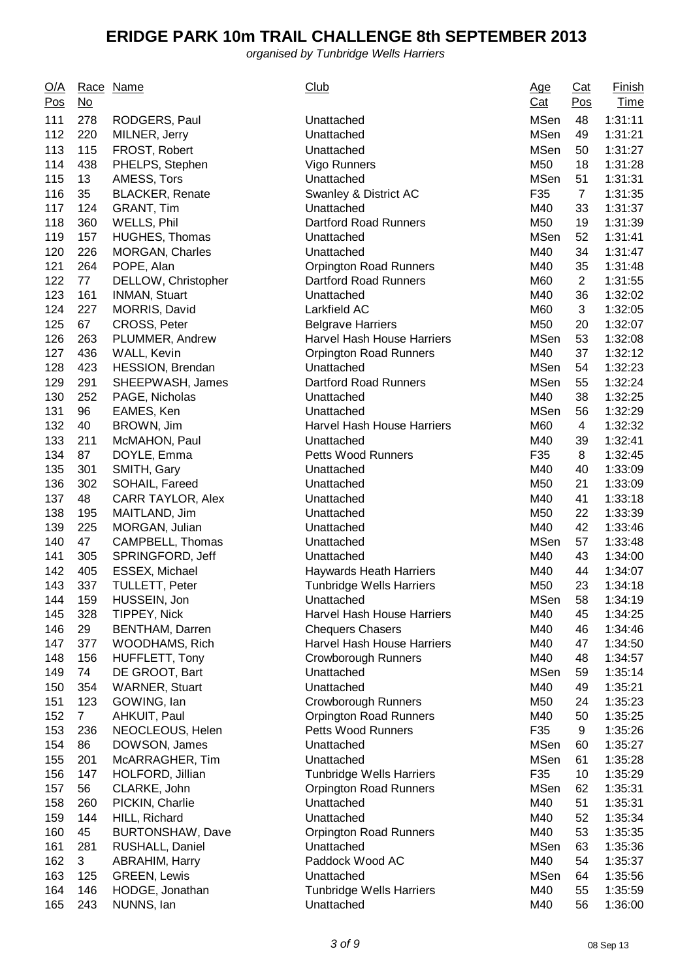| <b>MSen</b><br>111<br>278<br>RODGERS, Paul<br>48<br>Unattached<br>112<br><b>MSen</b><br>220<br>Unattached<br>49<br>MILNER, Jerry<br>113<br><b>MSen</b><br>115<br>FROST, Robert<br>Unattached<br>50<br>114<br>438<br>PHELPS, Stephen<br>M50<br>18<br>Vigo Runners<br><b>MSen</b><br>115<br>13<br>AMESS, Tors<br>Unattached<br>51<br>116<br>F35<br>35<br><b>BLACKER, Renate</b><br>Swanley & District AC<br>$\overline{7}$<br>117<br>124<br>GRANT, Tim<br>Unattached<br>M40<br>33<br>118<br>360<br>WELLS, Phil<br><b>Dartford Road Runners</b><br>M50<br>19<br>119<br>157<br><b>MSen</b><br>52<br><b>HUGHES, Thomas</b><br>Unattached<br>120<br>226<br>M40<br><b>MORGAN, Charles</b><br>Unattached<br>34<br>121<br>264<br>POPE, Alan<br>Orpington Road Runners<br>M40<br>35<br>122<br>M60<br>$\overline{2}$<br>77<br>DELLOW, Christopher<br><b>Dartford Road Runners</b><br>123<br>M40<br>161<br>INMAN, Stuart<br>Unattached<br>36<br>124<br>227<br>M60<br>3<br>MORRIS, David<br>Larkfield AC<br>125<br>67<br>M50<br>CROSS, Peter<br><b>Belgrave Harriers</b><br>20<br>126<br>263<br>PLUMMER, Andrew<br><b>Harvel Hash House Harriers</b><br><b>MSen</b><br>53<br>127<br>436<br>M40<br>37<br>WALL, Kevin<br><b>Orpington Road Runners</b><br>128<br><b>MSen</b><br>423<br>Unattached<br>54<br><b>HESSION, Brendan</b><br>129<br><b>MSen</b><br>291<br>SHEEPWASH, James<br>Dartford Road Runners<br>55<br>130<br>252<br>M40<br>38<br>PAGE, Nicholas<br>Unattached<br>131<br>96<br><b>MSen</b><br>EAMES, Ken<br>56<br>Unattached<br>132<br>40<br>BROWN, Jim<br>Harvel Hash House Harriers<br>M60<br>4 | <u>Finish</u><br><b>Time</b> |
|---------------------------------------------------------------------------------------------------------------------------------------------------------------------------------------------------------------------------------------------------------------------------------------------------------------------------------------------------------------------------------------------------------------------------------------------------------------------------------------------------------------------------------------------------------------------------------------------------------------------------------------------------------------------------------------------------------------------------------------------------------------------------------------------------------------------------------------------------------------------------------------------------------------------------------------------------------------------------------------------------------------------------------------------------------------------------------------------------------------------------------------------------------------------------------------------------------------------------------------------------------------------------------------------------------------------------------------------------------------------------------------------------------------------------------------------------------------------------------------------------------------------------------------------------------------------------------------------------|------------------------------|
|                                                                                                                                                                                                                                                                                                                                                                                                                                                                                                                                                                                                                                                                                                                                                                                                                                                                                                                                                                                                                                                                                                                                                                                                                                                                                                                                                                                                                                                                                                                                                                                                   | 1:31:11                      |
|                                                                                                                                                                                                                                                                                                                                                                                                                                                                                                                                                                                                                                                                                                                                                                                                                                                                                                                                                                                                                                                                                                                                                                                                                                                                                                                                                                                                                                                                                                                                                                                                   | 1:31:21                      |
|                                                                                                                                                                                                                                                                                                                                                                                                                                                                                                                                                                                                                                                                                                                                                                                                                                                                                                                                                                                                                                                                                                                                                                                                                                                                                                                                                                                                                                                                                                                                                                                                   | 1:31:27                      |
|                                                                                                                                                                                                                                                                                                                                                                                                                                                                                                                                                                                                                                                                                                                                                                                                                                                                                                                                                                                                                                                                                                                                                                                                                                                                                                                                                                                                                                                                                                                                                                                                   | 1:31:28                      |
|                                                                                                                                                                                                                                                                                                                                                                                                                                                                                                                                                                                                                                                                                                                                                                                                                                                                                                                                                                                                                                                                                                                                                                                                                                                                                                                                                                                                                                                                                                                                                                                                   | 1:31:31                      |
|                                                                                                                                                                                                                                                                                                                                                                                                                                                                                                                                                                                                                                                                                                                                                                                                                                                                                                                                                                                                                                                                                                                                                                                                                                                                                                                                                                                                                                                                                                                                                                                                   | 1:31:35                      |
|                                                                                                                                                                                                                                                                                                                                                                                                                                                                                                                                                                                                                                                                                                                                                                                                                                                                                                                                                                                                                                                                                                                                                                                                                                                                                                                                                                                                                                                                                                                                                                                                   | 1:31:37                      |
|                                                                                                                                                                                                                                                                                                                                                                                                                                                                                                                                                                                                                                                                                                                                                                                                                                                                                                                                                                                                                                                                                                                                                                                                                                                                                                                                                                                                                                                                                                                                                                                                   | 1:31:39                      |
|                                                                                                                                                                                                                                                                                                                                                                                                                                                                                                                                                                                                                                                                                                                                                                                                                                                                                                                                                                                                                                                                                                                                                                                                                                                                                                                                                                                                                                                                                                                                                                                                   | 1:31:41                      |
|                                                                                                                                                                                                                                                                                                                                                                                                                                                                                                                                                                                                                                                                                                                                                                                                                                                                                                                                                                                                                                                                                                                                                                                                                                                                                                                                                                                                                                                                                                                                                                                                   | 1:31:47                      |
|                                                                                                                                                                                                                                                                                                                                                                                                                                                                                                                                                                                                                                                                                                                                                                                                                                                                                                                                                                                                                                                                                                                                                                                                                                                                                                                                                                                                                                                                                                                                                                                                   | 1:31:48                      |
|                                                                                                                                                                                                                                                                                                                                                                                                                                                                                                                                                                                                                                                                                                                                                                                                                                                                                                                                                                                                                                                                                                                                                                                                                                                                                                                                                                                                                                                                                                                                                                                                   | 1:31:55                      |
|                                                                                                                                                                                                                                                                                                                                                                                                                                                                                                                                                                                                                                                                                                                                                                                                                                                                                                                                                                                                                                                                                                                                                                                                                                                                                                                                                                                                                                                                                                                                                                                                   | 1:32:02                      |
|                                                                                                                                                                                                                                                                                                                                                                                                                                                                                                                                                                                                                                                                                                                                                                                                                                                                                                                                                                                                                                                                                                                                                                                                                                                                                                                                                                                                                                                                                                                                                                                                   | 1:32:05                      |
|                                                                                                                                                                                                                                                                                                                                                                                                                                                                                                                                                                                                                                                                                                                                                                                                                                                                                                                                                                                                                                                                                                                                                                                                                                                                                                                                                                                                                                                                                                                                                                                                   | 1:32:07                      |
|                                                                                                                                                                                                                                                                                                                                                                                                                                                                                                                                                                                                                                                                                                                                                                                                                                                                                                                                                                                                                                                                                                                                                                                                                                                                                                                                                                                                                                                                                                                                                                                                   | 1:32:08                      |
|                                                                                                                                                                                                                                                                                                                                                                                                                                                                                                                                                                                                                                                                                                                                                                                                                                                                                                                                                                                                                                                                                                                                                                                                                                                                                                                                                                                                                                                                                                                                                                                                   | 1:32:12                      |
|                                                                                                                                                                                                                                                                                                                                                                                                                                                                                                                                                                                                                                                                                                                                                                                                                                                                                                                                                                                                                                                                                                                                                                                                                                                                                                                                                                                                                                                                                                                                                                                                   | 1:32:23                      |
|                                                                                                                                                                                                                                                                                                                                                                                                                                                                                                                                                                                                                                                                                                                                                                                                                                                                                                                                                                                                                                                                                                                                                                                                                                                                                                                                                                                                                                                                                                                                                                                                   | 1:32:24                      |
|                                                                                                                                                                                                                                                                                                                                                                                                                                                                                                                                                                                                                                                                                                                                                                                                                                                                                                                                                                                                                                                                                                                                                                                                                                                                                                                                                                                                                                                                                                                                                                                                   | 1:32:25                      |
|                                                                                                                                                                                                                                                                                                                                                                                                                                                                                                                                                                                                                                                                                                                                                                                                                                                                                                                                                                                                                                                                                                                                                                                                                                                                                                                                                                                                                                                                                                                                                                                                   | 1:32:29                      |
|                                                                                                                                                                                                                                                                                                                                                                                                                                                                                                                                                                                                                                                                                                                                                                                                                                                                                                                                                                                                                                                                                                                                                                                                                                                                                                                                                                                                                                                                                                                                                                                                   | 1:32:32                      |
| 133<br>211<br>McMAHON, Paul<br>M40<br>39<br>Unattached                                                                                                                                                                                                                                                                                                                                                                                                                                                                                                                                                                                                                                                                                                                                                                                                                                                                                                                                                                                                                                                                                                                                                                                                                                                                                                                                                                                                                                                                                                                                            | 1:32:41                      |
| 134<br>F35<br>87<br>DOYLE, Emma<br><b>Petts Wood Runners</b><br>8                                                                                                                                                                                                                                                                                                                                                                                                                                                                                                                                                                                                                                                                                                                                                                                                                                                                                                                                                                                                                                                                                                                                                                                                                                                                                                                                                                                                                                                                                                                                 | 1:32:45                      |
| 135<br>301<br>M40<br>SMITH, Gary<br>40<br>Unattached                                                                                                                                                                                                                                                                                                                                                                                                                                                                                                                                                                                                                                                                                                                                                                                                                                                                                                                                                                                                                                                                                                                                                                                                                                                                                                                                                                                                                                                                                                                                              | 1:33:09                      |
| 136<br>302<br>M50<br>21<br>SOHAIL, Fareed<br>Unattached                                                                                                                                                                                                                                                                                                                                                                                                                                                                                                                                                                                                                                                                                                                                                                                                                                                                                                                                                                                                                                                                                                                                                                                                                                                                                                                                                                                                                                                                                                                                           | 1:33:09                      |
| 48<br>137<br>CARR TAYLOR, Alex<br>M40<br>41<br>Unattached                                                                                                                                                                                                                                                                                                                                                                                                                                                                                                                                                                                                                                                                                                                                                                                                                                                                                                                                                                                                                                                                                                                                                                                                                                                                                                                                                                                                                                                                                                                                         | 1:33:18                      |
| 138<br>195<br>MAITLAND, Jim<br>M50<br>22<br>Unattached                                                                                                                                                                                                                                                                                                                                                                                                                                                                                                                                                                                                                                                                                                                                                                                                                                                                                                                                                                                                                                                                                                                                                                                                                                                                                                                                                                                                                                                                                                                                            | 1:33:39                      |
| 139<br>225<br>M40<br>MORGAN, Julian<br>Unattached<br>42                                                                                                                                                                                                                                                                                                                                                                                                                                                                                                                                                                                                                                                                                                                                                                                                                                                                                                                                                                                                                                                                                                                                                                                                                                                                                                                                                                                                                                                                                                                                           | 1:33:46                      |
| 140<br>47<br><b>MSen</b><br>57<br>CAMPBELL, Thomas<br>Unattached                                                                                                                                                                                                                                                                                                                                                                                                                                                                                                                                                                                                                                                                                                                                                                                                                                                                                                                                                                                                                                                                                                                                                                                                                                                                                                                                                                                                                                                                                                                                  | 1:33:48                      |
| 141<br>305<br>SPRINGFORD, Jeff<br>M40<br>43<br>Unattached                                                                                                                                                                                                                                                                                                                                                                                                                                                                                                                                                                                                                                                                                                                                                                                                                                                                                                                                                                                                                                                                                                                                                                                                                                                                                                                                                                                                                                                                                                                                         | 1:34:00                      |
| 142<br>405<br>M40<br>ESSEX, Michael<br><b>Haywards Heath Harriers</b><br>44                                                                                                                                                                                                                                                                                                                                                                                                                                                                                                                                                                                                                                                                                                                                                                                                                                                                                                                                                                                                                                                                                                                                                                                                                                                                                                                                                                                                                                                                                                                       | 1:34:07                      |
| 143<br>337<br>23<br><b>TULLETT, Peter</b><br><b>Tunbridge Wells Harriers</b><br>M50                                                                                                                                                                                                                                                                                                                                                                                                                                                                                                                                                                                                                                                                                                                                                                                                                                                                                                                                                                                                                                                                                                                                                                                                                                                                                                                                                                                                                                                                                                               | 1:34:18                      |
| MSen<br>159<br>HUSSEIN, Jon<br>58<br>144<br>Unattached                                                                                                                                                                                                                                                                                                                                                                                                                                                                                                                                                                                                                                                                                                                                                                                                                                                                                                                                                                                                                                                                                                                                                                                                                                                                                                                                                                                                                                                                                                                                            | 1:34:19                      |
| 328<br>TIPPEY, Nick<br>Harvel Hash House Harriers<br>M40<br>145<br>45                                                                                                                                                                                                                                                                                                                                                                                                                                                                                                                                                                                                                                                                                                                                                                                                                                                                                                                                                                                                                                                                                                                                                                                                                                                                                                                                                                                                                                                                                                                             | 1:34:25                      |
| 29<br>146<br><b>BENTHAM, Darren</b><br><b>Chequers Chasers</b><br>M40<br>46                                                                                                                                                                                                                                                                                                                                                                                                                                                                                                                                                                                                                                                                                                                                                                                                                                                                                                                                                                                                                                                                                                                                                                                                                                                                                                                                                                                                                                                                                                                       | 1:34:46                      |
| 147<br>377<br><b>WOODHAMS, Rich</b><br>Harvel Hash House Harriers<br>M40<br>47                                                                                                                                                                                                                                                                                                                                                                                                                                                                                                                                                                                                                                                                                                                                                                                                                                                                                                                                                                                                                                                                                                                                                                                                                                                                                                                                                                                                                                                                                                                    | 1:34:50                      |
| 148<br>156<br>Crowborough Runners<br>M40<br>HUFFLETT, Tony<br>48                                                                                                                                                                                                                                                                                                                                                                                                                                                                                                                                                                                                                                                                                                                                                                                                                                                                                                                                                                                                                                                                                                                                                                                                                                                                                                                                                                                                                                                                                                                                  | 1:34:57                      |
| 149<br>74<br>DE GROOT, Bart<br>Unattached<br><b>MSen</b><br>59                                                                                                                                                                                                                                                                                                                                                                                                                                                                                                                                                                                                                                                                                                                                                                                                                                                                                                                                                                                                                                                                                                                                                                                                                                                                                                                                                                                                                                                                                                                                    | 1:35:14                      |
| 150<br>354<br><b>WARNER, Stuart</b><br>Unattached<br>M40<br>49                                                                                                                                                                                                                                                                                                                                                                                                                                                                                                                                                                                                                                                                                                                                                                                                                                                                                                                                                                                                                                                                                                                                                                                                                                                                                                                                                                                                                                                                                                                                    | 1:35:21                      |
| 151<br>123<br>GOWING, Ian<br><b>Crowborough Runners</b><br>M50<br>24                                                                                                                                                                                                                                                                                                                                                                                                                                                                                                                                                                                                                                                                                                                                                                                                                                                                                                                                                                                                                                                                                                                                                                                                                                                                                                                                                                                                                                                                                                                              | 1:35:23                      |
| 152<br>AHKUIT, Paul<br><b>Orpington Road Runners</b><br>M40<br>50<br>$\mathbf{7}$                                                                                                                                                                                                                                                                                                                                                                                                                                                                                                                                                                                                                                                                                                                                                                                                                                                                                                                                                                                                                                                                                                                                                                                                                                                                                                                                                                                                                                                                                                                 | 1:35:25                      |
| 153<br>NEOCLEOUS, Helen<br><b>Petts Wood Runners</b><br>F35<br>9<br>236                                                                                                                                                                                                                                                                                                                                                                                                                                                                                                                                                                                                                                                                                                                                                                                                                                                                                                                                                                                                                                                                                                                                                                                                                                                                                                                                                                                                                                                                                                                           | 1:35:26                      |
| 154<br>86<br>DOWSON, James<br>Unattached<br><b>MSen</b><br>60                                                                                                                                                                                                                                                                                                                                                                                                                                                                                                                                                                                                                                                                                                                                                                                                                                                                                                                                                                                                                                                                                                                                                                                                                                                                                                                                                                                                                                                                                                                                     | 1:35:27                      |
| 155<br>201<br>McARRAGHER, Tim<br><b>MSen</b><br>61<br>Unattached<br>F35<br>147                                                                                                                                                                                                                                                                                                                                                                                                                                                                                                                                                                                                                                                                                                                                                                                                                                                                                                                                                                                                                                                                                                                                                                                                                                                                                                                                                                                                                                                                                                                    | 1:35:28                      |
| 156<br>HOLFORD, Jillian<br><b>Tunbridge Wells Harriers</b><br>10                                                                                                                                                                                                                                                                                                                                                                                                                                                                                                                                                                                                                                                                                                                                                                                                                                                                                                                                                                                                                                                                                                                                                                                                                                                                                                                                                                                                                                                                                                                                  | 1:35:29                      |
| 157<br>56<br>CLARKE, John<br><b>Orpington Road Runners</b><br><b>MSen</b><br>62<br>158<br>51<br>260<br>Unattached<br>M40                                                                                                                                                                                                                                                                                                                                                                                                                                                                                                                                                                                                                                                                                                                                                                                                                                                                                                                                                                                                                                                                                                                                                                                                                                                                                                                                                                                                                                                                          | 1:35:31                      |
| PICKIN, Charlie<br>159<br>144<br>HILL, Richard<br>Unattached<br>M40<br>52                                                                                                                                                                                                                                                                                                                                                                                                                                                                                                                                                                                                                                                                                                                                                                                                                                                                                                                                                                                                                                                                                                                                                                                                                                                                                                                                                                                                                                                                                                                         | 1:35:31                      |
| M40                                                                                                                                                                                                                                                                                                                                                                                                                                                                                                                                                                                                                                                                                                                                                                                                                                                                                                                                                                                                                                                                                                                                                                                                                                                                                                                                                                                                                                                                                                                                                                                               | 1:35:34                      |
| 160<br>45<br><b>BURTONSHAW, Dave</b><br><b>Orpington Road Runners</b><br>53<br>281<br>161<br>RUSHALL, Daniel<br>Unattached<br><b>MSen</b><br>63                                                                                                                                                                                                                                                                                                                                                                                                                                                                                                                                                                                                                                                                                                                                                                                                                                                                                                                                                                                                                                                                                                                                                                                                                                                                                                                                                                                                                                                   | 1:35:35                      |
| 162<br>3<br>Paddock Wood AC<br>M40<br><b>ABRAHIM, Harry</b><br>54                                                                                                                                                                                                                                                                                                                                                                                                                                                                                                                                                                                                                                                                                                                                                                                                                                                                                                                                                                                                                                                                                                                                                                                                                                                                                                                                                                                                                                                                                                                                 | 1:35:36<br>1:35:37           |
| 163<br>125<br><b>GREEN, Lewis</b><br>Unattached<br><b>MSen</b>                                                                                                                                                                                                                                                                                                                                                                                                                                                                                                                                                                                                                                                                                                                                                                                                                                                                                                                                                                                                                                                                                                                                                                                                                                                                                                                                                                                                                                                                                                                                    |                              |
| 64<br>164<br>146<br>HODGE, Jonathan<br><b>Tunbridge Wells Harriers</b><br>M40<br>55                                                                                                                                                                                                                                                                                                                                                                                                                                                                                                                                                                                                                                                                                                                                                                                                                                                                                                                                                                                                                                                                                                                                                                                                                                                                                                                                                                                                                                                                                                               | 1:35:56<br>1:35:59           |
| 165<br>243<br>NUNNS, Ian<br>M40<br>56<br>Unattached                                                                                                                                                                                                                                                                                                                                                                                                                                                                                                                                                                                                                                                                                                                                                                                                                                                                                                                                                                                                                                                                                                                                                                                                                                                                                                                                                                                                                                                                                                                                               | 1:36:00                      |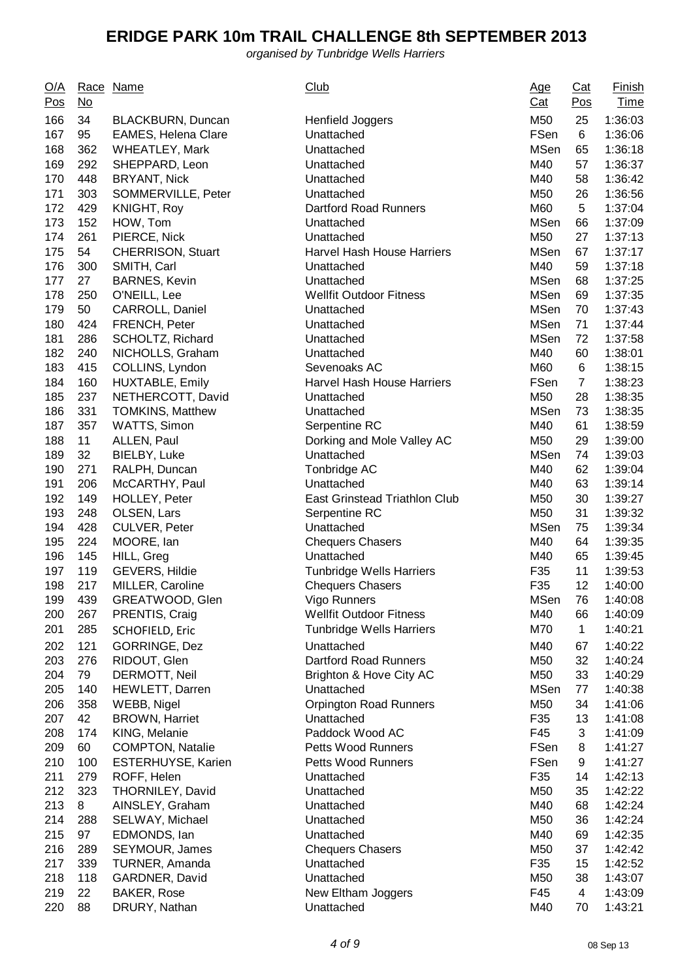| <u>O/A</u><br>Pos | Race<br><u>No</u> | Name                       | <b>Club</b>                          | <u>Age</u><br>$Cat$ | $Cat$<br>Pos   | <b>Finish</b><br><b>Time</b> |
|-------------------|-------------------|----------------------------|--------------------------------------|---------------------|----------------|------------------------------|
| 166               | 34                | BLACKBURN, Duncan          | Henfield Joggers                     | M50                 | 25             | 1:36:03                      |
| 167               | 95                | <b>EAMES, Helena Clare</b> | Unattached                           | FSen                | 6              | 1:36:06                      |
| 168               | 362               | WHEATLEY, Mark             | Unattached                           | <b>MSen</b>         | 65             | 1:36:18                      |
| 169               | 292               | SHEPPARD, Leon             | Unattached                           | M40                 | 57             | 1:36:37                      |
| 170               | 448               | <b>BRYANT, Nick</b>        | Unattached                           | M40                 | 58             | 1:36:42                      |
| 171               | 303               | SOMMERVILLE, Peter         | Unattached                           | M50                 | 26             | 1:36:56                      |
| 172               | 429               | KNIGHT, Roy                | <b>Dartford Road Runners</b>         | M60                 | 5              | 1:37:04                      |
| 173               | 152               | HOW, Tom                   | Unattached                           | <b>MSen</b>         | 66             | 1:37:09                      |
| 174               | 261               | PIERCE, Nick               | Unattached                           | M50                 | 27             | 1:37:13                      |
| 175               | 54                | <b>CHERRISON, Stuart</b>   | <b>Harvel Hash House Harriers</b>    | <b>MSen</b>         | 67             | 1:37:17                      |
| 176               | 300               | SMITH, Carl                | Unattached                           | M40                 | 59             | 1:37:18                      |
| 177               | 27                | <b>BARNES, Kevin</b>       | Unattached                           | <b>MSen</b>         | 68             | 1:37:25                      |
| 178               | 250               | O'NEILL, Lee               | <b>Wellfit Outdoor Fitness</b>       | <b>MSen</b>         | 69             | 1:37:35                      |
| 179               | 50                | CARROLL, Daniel            | Unattached                           | <b>MSen</b>         | 70             | 1:37:43                      |
| 180               | 424               | FRENCH, Peter              | Unattached                           | <b>MSen</b>         | 71             | 1:37:44                      |
| 181               | 286               | SCHOLTZ, Richard           | Unattached                           | <b>MSen</b>         | 72             | 1:37:58                      |
| 182               | 240               | NICHOLLS, Graham           | Unattached                           | M40                 | 60             | 1:38:01                      |
| 183               | 415               | COLLINS, Lyndon            | Sevenoaks AC                         | M60                 | 6              | 1:38:15                      |
| 184               | 160               | HUXTABLE, Emily            | Harvel Hash House Harriers           | FSen                | $\overline{7}$ | 1:38:23                      |
| 185               | 237               | NETHERCOTT, David          | Unattached                           | M50                 | 28             | 1:38:35                      |
| 186               | 331               | <b>TOMKINS, Matthew</b>    | Unattached                           | <b>MSen</b>         | 73             | 1:38:35                      |
| 187               | 357               | WATTS, Simon               | Serpentine RC                        | M40                 | 61             | 1:38:59                      |
| 188               | 11                | ALLEN, Paul                | Dorking and Mole Valley AC           | M50                 | 29             | 1:39:00                      |
| 189               | 32                | BIELBY, Luke               | Unattached                           | <b>MSen</b>         | 74             | 1:39:03                      |
| 190               | 271               | RALPH, Duncan              | Tonbridge AC                         | M40                 | 62             | 1:39:04                      |
| 191               | 206               | McCARTHY, Paul             | Unattached                           | M40                 | 63             | 1:39:14                      |
| 192               | 149               | HOLLEY, Peter              | <b>East Grinstead Triathlon Club</b> | M50                 | 30             | 1:39:27                      |
| 193               | 248               | OLSEN, Lars                | Serpentine RC                        | M50                 | 31             | 1:39:32                      |
| 194               | 428               | CULVER, Peter              | Unattached                           | <b>MSen</b>         | 75             | 1:39:34                      |
| 195               | 224               | MOORE, Ian                 | <b>Chequers Chasers</b>              | M40                 | 64             | 1:39:35                      |
| 196               | 145               | HILL, Greg                 | Unattached                           | M40                 | 65             | 1:39:45                      |
| 197               | 119               | <b>GEVERS, Hildie</b>      | <b>Tunbridge Wells Harriers</b>      | F35                 | 11             | 1:39:53                      |
| 198               | 217               | MILLER, Caroline           | <b>Chequers Chasers</b>              | F35                 | 12             | 1:40:00                      |
| 199               | 439               | GREATWOOD, Glen            | Vigo Runners                         | MSen                | 76             | 1:40:08                      |
| 200               | 267               | PRENTIS, Craig             | <b>Wellfit Outdoor Fitness</b>       | M40                 | 66             | 1:40:09                      |
| 201               | 285               | <b>SCHOFIELD, Eric</b>     | <b>Tunbridge Wells Harriers</b>      | M70                 | $\mathbf{1}$   | 1:40:21                      |
| 202               | 121               | <b>GORRINGE, Dez</b>       | Unattached                           | M40                 | 67             | 1:40:22                      |
| 203               | 276               | RIDOUT, Glen               | <b>Dartford Road Runners</b>         | M50                 | 32             | 1:40:24                      |
| 204               | 79                | DERMOTT, Neil              | Brighton & Hove City AC              | M50                 | 33             | 1:40:29                      |
| 205               | 140               | HEWLETT, Darren            | Unattached                           | <b>MSen</b>         | 77             | 1:40:38                      |
| 206               | 358               | WEBB, Nigel                | <b>Orpington Road Runners</b>        | M50                 | 34             | 1:41:06                      |
| 207               | 42                | <b>BROWN, Harriet</b>      | Unattached                           | F35                 | 13             | 1:41:08                      |
| 208               | 174               | KING, Melanie              | Paddock Wood AC                      | F45                 | 3              | 1:41:09                      |
| 209               | 60                | <b>COMPTON, Natalie</b>    | <b>Petts Wood Runners</b>            | FSen                | 8              | 1:41:27                      |
| 210               | 100               | ESTERHUYSE, Karien         | <b>Petts Wood Runners</b>            | FSen                | 9              | 1:41:27                      |
| 211               | 279               | ROFF, Helen                | Unattached                           | F35                 | 14             | 1:42:13                      |
| 212               | 323               | THORNILEY, David           | Unattached                           | M50                 | 35             | 1:42:22                      |
| 213               | 8                 | AINSLEY, Graham            | Unattached                           | M40                 | 68             | 1:42:24                      |
| 214               | 288               | SELWAY, Michael            | Unattached                           | M50                 | 36             | 1:42:24                      |
| 215               | 97                | EDMONDS, Ian               | Unattached                           | M40                 | 69             | 1:42:35                      |
| 216               | 289               | SEYMOUR, James             | <b>Chequers Chasers</b>              | M50                 | 37             | 1:42:42                      |
| 217               | 339               | TURNER, Amanda             | Unattached                           | F35                 | 15             | 1:42:52                      |
| 218               | 118               | GARDNER, David             | Unattached                           | M50                 | 38             | 1:43:07                      |
| 219               | 22                | <b>BAKER, Rose</b>         | New Eltham Joggers                   | F45                 | 4              | 1:43:09                      |
| 220               | 88                | DRURY, Nathan              | Unattached                           | M40                 | 70             | 1:43:21                      |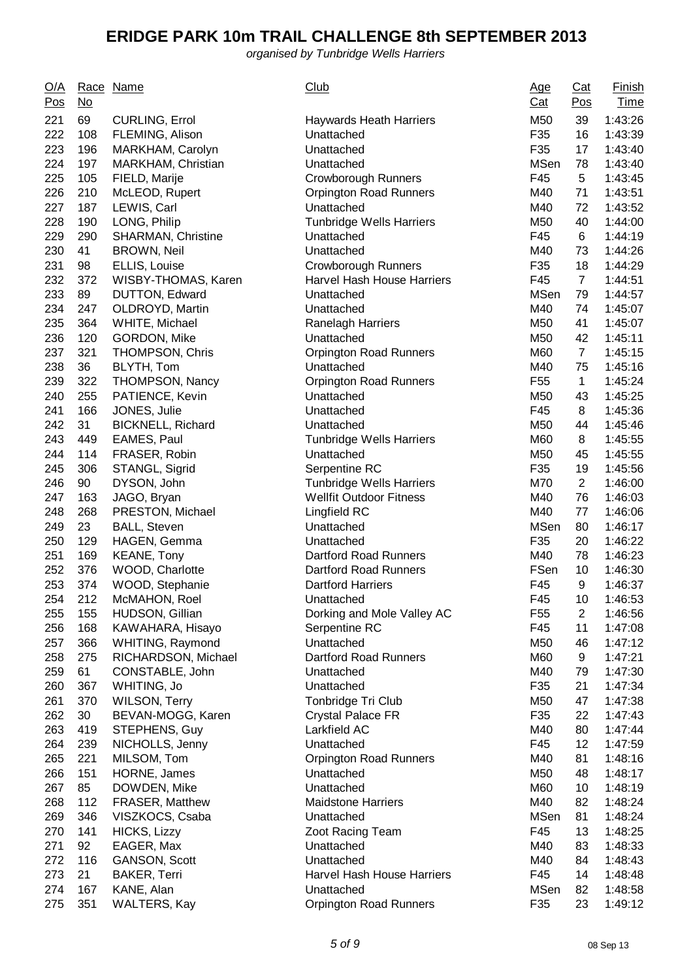| <u>O/A</u><br>Pos | <u>No</u> | Race Name                | <b>Club</b>                       | <u>Age</u><br><u>Cat</u> | Cat<br><u>Pos</u> | <b>Finish</b><br><b>Time</b> |
|-------------------|-----------|--------------------------|-----------------------------------|--------------------------|-------------------|------------------------------|
| 221               | 69        | <b>CURLING, Errol</b>    | <b>Haywards Heath Harriers</b>    | M50                      | 39                | 1:43:26                      |
| 222               | 108       | FLEMING, Alison          | Unattached                        | F35                      | 16                | 1:43:39                      |
| 223               | 196       | MARKHAM, Carolyn         | Unattached                        | F35                      | 17                | 1:43:40                      |
| 224               | 197       | MARKHAM, Christian       | Unattached                        | <b>MSen</b>              | 78                | 1:43:40                      |
| 225               | 105       | FIELD, Marije            | <b>Crowborough Runners</b>        | F45                      | 5                 | 1:43:45                      |
| 226               | 210       | McLEOD, Rupert           | Orpington Road Runners            | M40                      | 71                | 1:43:51                      |
| 227               | 187       | LEWIS, Carl              | Unattached                        | M40                      | 72                | 1:43:52                      |
| 228               | 190       | LONG, Philip             | <b>Tunbridge Wells Harriers</b>   | M50                      | 40                | 1:44:00                      |
| 229               | 290       | SHARMAN, Christine       | Unattached                        | F45                      | 6                 | 1:44:19                      |
| 230               | 41        | <b>BROWN, Neil</b>       | Unattached                        | M40                      | 73                | 1:44:26                      |
| 231               | 98        | ELLIS, Louise            | <b>Crowborough Runners</b>        | F35                      | 18                | 1:44:29                      |
| 232               | 372       | WISBY-THOMAS, Karen      | <b>Harvel Hash House Harriers</b> | F45                      | $\overline{7}$    | 1:44:51                      |
| 233               | 89        | DUTTON, Edward           | Unattached                        | <b>MSen</b>              | 79                | 1:44:57                      |
| 234               | 247       | OLDROYD, Martin          | Unattached                        | M40                      | 74                | 1:45:07                      |
| 235               | 364       | WHITE, Michael           | <b>Ranelagh Harriers</b>          | M50                      | 41                | 1:45:07                      |
| 236               | 120       | GORDON, Mike             | Unattached                        | M50                      | 42                | 1:45:11                      |
| 237               | 321       | <b>THOMPSON, Chris</b>   | <b>Orpington Road Runners</b>     | M60                      | $\overline{7}$    | 1:45:15                      |
| 238               | 36        | BLYTH, Tom               | Unattached                        | M40                      | 75                | 1:45:16                      |
| 239               | 322       | <b>THOMPSON, Nancy</b>   | <b>Orpington Road Runners</b>     | F <sub>55</sub>          | $\mathbf{1}$      | 1:45:24                      |
| 240               | 255       | PATIENCE, Kevin          | Unattached                        | M50                      | 43                | 1:45:25                      |
| 241               | 166       | JONES, Julie             | Unattached                        | F45                      | 8                 | 1:45:36                      |
| 242               | 31        |                          |                                   | M50                      | 44                |                              |
| 243               | 449       | <b>BICKNELL, Richard</b> | Unattached                        |                          |                   | 1:45:46                      |
| 244               | 114       | EAMES, Paul              | <b>Tunbridge Wells Harriers</b>   | M60<br>M50               | 8<br>45           | 1:45:55<br>1:45:55           |
| 245               | 306       | FRASER, Robin            | Unattached                        | F35                      | 19                | 1:45:56                      |
|                   |           | STANGL, Sigrid           | Serpentine RC                     |                          |                   |                              |
| 246               | 90        | DYSON, John              | <b>Tunbridge Wells Harriers</b>   | M70                      | $\overline{2}$    | 1:46:00                      |
| 247               | 163       | JAGO, Bryan              | <b>Wellfit Outdoor Fitness</b>    | M40                      | 76                | 1:46:03                      |
| 248               | 268       | PRESTON, Michael         | Lingfield RC                      | M40                      | 77                | 1:46:06                      |
| 249               | 23        | <b>BALL, Steven</b>      | Unattached                        | <b>MSen</b>              | 80                | 1:46:17                      |
| 250               | 129       | HAGEN, Gemma             | Unattached                        | F35                      | 20                | 1:46:22                      |
| 251               | 169       | <b>KEANE, Tony</b>       | <b>Dartford Road Runners</b>      | M40                      | 78                | 1:46:23                      |
| 252               | 376       | WOOD, Charlotte          | <b>Dartford Road Runners</b>      | FSen                     | 10                | 1:46:30                      |
| 253               | 374       | WOOD, Stephanie          | <b>Dartford Harriers</b>          | F45                      | 9                 | 1:46:37                      |
| 254               | 212       | McMAHON, Roel            | Unattached                        | F45                      | 10                | 1:46:53                      |
| 255               | 155       | HUDSON, Gillian          | Dorking and Mole Valley AC        | F <sub>55</sub>          | $\overline{2}$    | 1:46:56                      |
| 256               | 168       | KAWAHARA, Hisayo         | Serpentine RC                     | F45                      | 11                | 1:47:08                      |
| 257               | 366       | WHITING, Raymond         | Unattached                        | M50                      | 46                | 1:47:12                      |
| 258               | 275       | RICHARDSON, Michael      | Dartford Road Runners             | M60                      | 9                 | 1:47:21                      |
| 259               | 61        | CONSTABLE, John          | Unattached                        | M40                      | 79                | 1:47:30                      |
| 260               | 367       | WHITING, Jo              | Unattached                        | F35                      | 21                | 1:47:34                      |
| 261               | 370       | <b>WILSON, Terry</b>     | Tonbridge Tri Club                | M50                      | 47                | 1:47:38                      |
| 262               | 30        | BEVAN-MOGG, Karen        | <b>Crystal Palace FR</b>          | F35                      | 22                | 1:47:43                      |
| 263               | 419       | STEPHENS, Guy            | Larkfield AC                      | M40                      | 80                | 1:47:44                      |
| 264               | 239       | NICHOLLS, Jenny          | Unattached                        | F45                      | 12                | 1:47:59                      |
| 265               | 221       | MILSOM, Tom              | Orpington Road Runners            | M40                      | 81                | 1:48:16                      |
| 266               | 151       | HORNE, James             | Unattached                        | M50                      | 48                | 1:48:17                      |
| 267               | 85        | DOWDEN, Mike             | Unattached                        | M60                      | 10                | 1:48:19                      |
| 268               | 112       | FRASER, Matthew          | <b>Maidstone Harriers</b>         | M40                      | 82                | 1:48:24                      |
| 269               | 346       | VISZKOCS, Csaba          | Unattached                        | <b>MSen</b>              | 81                | 1:48:24                      |
| 270               | 141       | HICKS, Lizzy             | Zoot Racing Team                  | F45                      | 13                | 1:48:25                      |
| 271               | 92        | EAGER, Max               | Unattached                        | M40                      | 83                | 1:48:33                      |
| 272               | 116       | GANSON, Scott            | Unattached                        | M40                      | 84                | 1:48:43                      |
| 273               | 21        | <b>BAKER, Terri</b>      | Harvel Hash House Harriers        | F45                      | 14                | 1:48:48                      |
| 274               | 167       | KANE, Alan               | Unattached                        | <b>MSen</b>              | 82                | 1:48:58                      |
| 275               | 351       | <b>WALTERS, Kay</b>      | <b>Orpington Road Runners</b>     | F35                      | 23                | 1:49:12                      |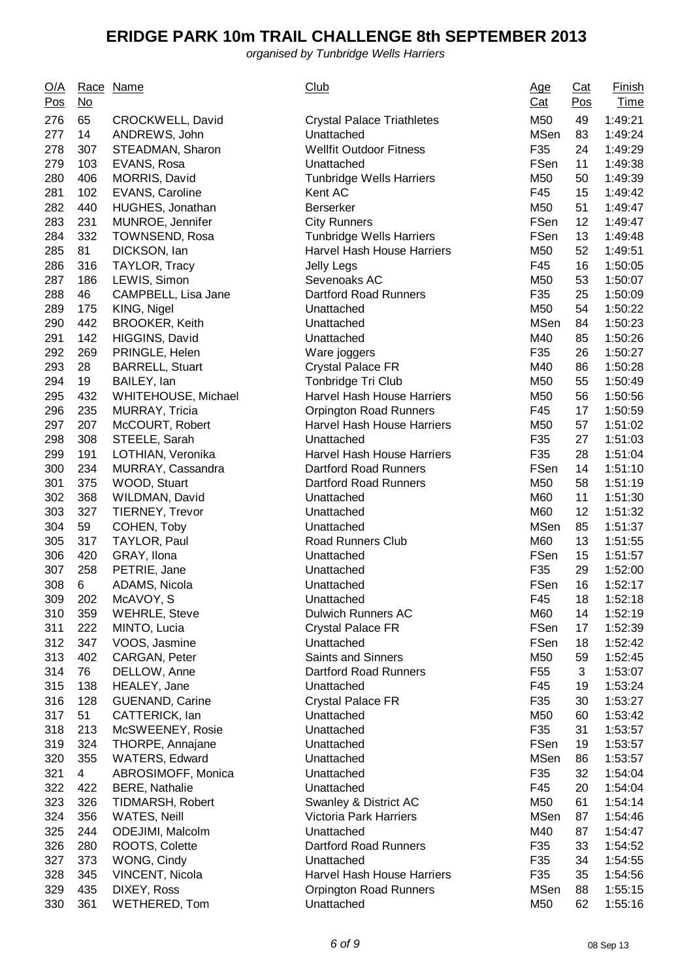| <u>O/A</u><br>Pos | $\underline{\mathsf{No}}$ | Race Name                     | <b>Club</b>                             | <u>Age</u><br><u>Cat</u> | Cat<br>Pos | <b>Finish</b><br><b>Time</b> |
|-------------------|---------------------------|-------------------------------|-----------------------------------------|--------------------------|------------|------------------------------|
| 276               | 65                        | CROCKWELL, David              | <b>Crystal Palace Triathletes</b>       | M50                      | 49         | 1:49:21                      |
| 277               | 14                        | ANDREWS, John                 | Unattached                              | <b>MSen</b>              | 83         | 1:49:24                      |
| 278               | 307                       | STEADMAN, Sharon              | <b>Wellfit Outdoor Fitness</b>          | F35                      | 24         | 1:49:29                      |
| 279               | 103                       | EVANS, Rosa                   | Unattached                              | FSen                     | 11         | 1:49:38                      |
| 280               | 406                       | MORRIS, David                 | <b>Tunbridge Wells Harriers</b>         | M50                      | 50         | 1:49:39                      |
| 281               | 102                       | EVANS, Caroline               | Kent AC                                 | F45                      | 15         | 1:49:42                      |
| 282               | 440                       | HUGHES, Jonathan              | <b>Berserker</b>                        | M50                      | 51         | 1:49:47                      |
| 283               | 231                       | MUNROE, Jennifer              | <b>City Runners</b>                     | FSen                     | 12         | 1:49:47                      |
| 284               | 332                       | TOWNSEND, Rosa                | <b>Tunbridge Wells Harriers</b>         | FSen                     | 13         | 1:49:48                      |
| 285               | 81                        | DICKSON, lan                  | Harvel Hash House Harriers              | M50                      | 52         | 1:49:51                      |
| 286               | 316                       | TAYLOR, Tracy                 | Jelly Legs                              | F45                      | 16         | 1:50:05                      |
| 287               | 186                       | LEWIS, Simon                  | Sevenoaks AC                            | M50                      | 53         | 1:50:07                      |
| 288               | 46                        | CAMPBELL, Lisa Jane           | Dartford Road Runners                   | F35                      | 25         | 1:50:09                      |
| 289               | 175                       | KING, Nigel                   | Unattached                              | M50                      | 54         | 1:50:22                      |
| 290               | 442                       | <b>BROOKER, Keith</b>         | Unattached                              | <b>MSen</b>              | 84         | 1:50:23                      |
| 291               | 142                       | HIGGINS, David                | Unattached                              | M40                      | 85         | 1:50:26                      |
| 292               | 269                       | PRINGLE, Helen                | Ware joggers                            | F35                      | 26         | 1:50:27                      |
| 293               | 28                        | <b>BARRELL, Stuart</b>        | <b>Crystal Palace FR</b>                | M40                      | 86         | 1:50:28                      |
| 294               | 19                        | BAILEY, Ian                   | Tonbridge Tri Club                      | M50                      | 55         | 1:50:49                      |
| 295               | 432                       | WHITEHOUSE, Michael           | Harvel Hash House Harriers              | M50                      | 56         | 1:50:56                      |
| 296               | 235                       | <b>MURRAY, Tricia</b>         | <b>Orpington Road Runners</b>           | F45                      | 17         | 1:50:59                      |
| 297               | 207                       | McCOURT, Robert               | <b>Harvel Hash House Harriers</b>       | M50                      | 57         | 1:51:02                      |
| 298               | 308                       | STEELE, Sarah                 | Unattached                              | F35                      | 27         | 1:51:03                      |
| 299               | 191                       | LOTHIAN, Veronika             | Harvel Hash House Harriers              | F35                      | 28         | 1:51:04                      |
| 300               | 234                       | MURRAY, Cassandra             | <b>Dartford Road Runners</b>            | FSen                     | 14         | 1:51:10                      |
| 301               | 375                       | WOOD, Stuart                  | <b>Dartford Road Runners</b>            | M50                      | 58         | 1:51:19                      |
| 302               | 368                       | WILDMAN, David                | Unattached                              | M60                      | 11         | 1:51:30                      |
| 303               | 327                       | <b>TIERNEY, Trevor</b>        | Unattached                              | M60                      | 12         | 1:51:32                      |
| 304               | 59                        | COHEN, Toby                   | Unattached                              | <b>MSen</b>              | 85         | 1:51:37                      |
| 305               | 317                       | TAYLOR, Paul                  | Road Runners Club                       | M60                      | 13         | 1:51:55                      |
| 306               | 420                       | GRAY, Ilona                   | Unattached                              | FSen                     | 15         | 1:51:57                      |
| 307               | 258                       | PETRIE, Jane                  |                                         | F35                      | 29         | 1:52:00                      |
| 308               | 6                         | ADAMS, Nicola                 | Unattached<br>Unattached                | FSen                     | 16         | 1:52:17                      |
| 309               | 202                       | McAVOY, S                     | Unattached                              | F45                      | 18         | 1:52:18                      |
|                   | 359                       | <b>WEHRLE, Steve</b>          | <b>Dulwich Runners AC</b>               | M60                      |            |                              |
| 310               |                           |                               |                                         |                          | 14         | 1:52:19                      |
| 311               | 222                       | MINTO, Lucia                  | <b>Crystal Palace FR</b>                | FSen                     | 17         | 1:52:39                      |
| 312               | 347                       | VOOS, Jasmine                 | Unattached<br><b>Saints and Sinners</b> | FSen                     | 18         | 1:52:42                      |
| 313               | 402                       | CARGAN, Peter<br>DELLOW, Anne | <b>Dartford Road Runners</b>            | M50                      | 59         | 1:52:45                      |
| 314               | 76<br>138                 |                               |                                         | F <sub>55</sub><br>F45   | 3          | 1:53:07                      |
| 315               |                           | HEALEY, Jane                  | Unattached                              |                          | 19         | 1:53:24                      |
| 316               | 128                       | <b>GUENAND, Carine</b>        | <b>Crystal Palace FR</b>                | F35                      | 30         | 1:53:27                      |
| 317               | 51                        | CATTERICK, lan                | Unattached                              | M50                      | 60         | 1:53:42                      |
| 318               | 213                       | McSWEENEY, Rosie              | Unattached                              | F35                      | 31         | 1:53:57                      |
| 319               | 324                       | THORPE, Annajane              | Unattached                              | FSen                     | 19         | 1:53:57                      |
| 320               | 355                       | <b>WATERS, Edward</b>         | Unattached                              | <b>MSen</b>              | 86         | 1:53:57                      |
| 321               | $\overline{4}$            | ABROSIMOFF, Monica            | Unattached                              | F35                      | 32         | 1:54:04                      |
| 322               | 422                       | <b>BERE, Nathalie</b>         | Unattached                              | F45                      | 20         | 1:54:04                      |
| 323               | 326                       | TIDMARSH, Robert              | Swanley & District AC                   | M50                      | 61         | 1:54:14                      |
| 324               | 356                       | WATES, Neill                  | Victoria Park Harriers                  | <b>MSen</b>              | 87         | 1:54:46                      |
| 325               | 244                       | ODEJIMI, Malcolm              | Unattached                              | M40                      | 87         | 1:54:47                      |
| 326               | 280                       | ROOTS, Colette                | Dartford Road Runners                   | F35                      | 33         | 1:54:52                      |
| 327               | 373                       | WONG, Cindy                   | Unattached                              | F35                      | 34         | 1:54:55                      |
| 328               | 345                       | VINCENT, Nicola               | Harvel Hash House Harriers              | F35                      | 35         | 1:54:56                      |
| 329               | 435                       | DIXEY, Ross                   | <b>Orpington Road Runners</b>           | <b>MSen</b>              | 88         | 1:55:15                      |
| 330               | 361                       | <b>WETHERED, Tom</b>          | Unattached                              | M50                      | 62         | 1:55:16                      |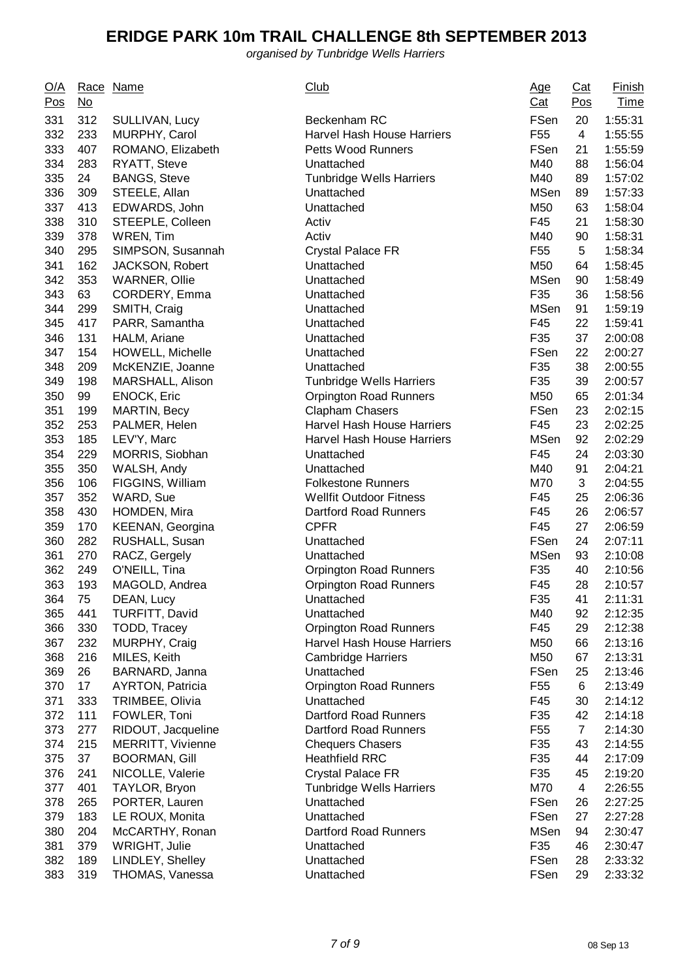| <u>O/A</u><br>Pos | $\underline{\mathsf{No}}$ | Race Name                | <b>Club</b>                       | <u>Age</u><br>Cat | Cat<br>Pos     | <b>Finish</b><br><b>Time</b> |
|-------------------|---------------------------|--------------------------|-----------------------------------|-------------------|----------------|------------------------------|
| 331               | 312                       | SULLIVAN, Lucy           | Beckenham RC                      | FSen              | 20             | 1:55:31                      |
| 332               | 233                       | MURPHY, Carol            | <b>Harvel Hash House Harriers</b> | F <sub>55</sub>   | 4              | 1:55:55                      |
| 333               | 407                       | ROMANO, Elizabeth        | <b>Petts Wood Runners</b>         | FSen              | 21             | 1:55:59                      |
| 334               | 283                       | RYATT, Steve             | Unattached                        | M40               | 88             | 1:56:04                      |
| 335               | 24                        | <b>BANGS, Steve</b>      | <b>Tunbridge Wells Harriers</b>   | M40               | 89             | 1:57:02                      |
| 336               | 309                       | STEELE, Allan            | Unattached                        | <b>MSen</b>       | 89             | 1:57:33                      |
| 337               | 413                       | EDWARDS, John            | Unattached                        | M50               | 63             | 1:58:04                      |
| 338               | 310                       | STEEPLE, Colleen         | Activ                             | F45               | 21             | 1:58:30                      |
| 339               | 378                       | <b>WREN, Tim</b>         | Activ                             | M40               | 90             | 1:58:31                      |
| 340               | 295                       | SIMPSON, Susannah        | <b>Crystal Palace FR</b>          | F <sub>55</sub>   | 5              | 1:58:34                      |
| 341               | 162                       | JACKSON, Robert          | Unattached                        | M50               | 64             | 1:58:45                      |
| 342               | 353                       | <b>WARNER, Ollie</b>     | Unattached                        | <b>MSen</b>       | 90             | 1:58:49                      |
| 343               | 63                        | CORDERY, Emma            | Unattached                        | F35               | 36             | 1:58:56                      |
| 344               | 299                       | SMITH, Craig             | Unattached                        | <b>MSen</b>       | 91             | 1:59:19                      |
| 345               | 417                       | PARR, Samantha           | Unattached                        | F45               | 22             | 1:59:41                      |
| 346               | 131                       | HALM, Ariane             | Unattached                        | F35               | 37             | 2:00:08                      |
| 347               | 154                       | HOWELL, Michelle         | Unattached                        | FSen              | 22             | 2:00:27                      |
| 348               | 209                       | McKENZIE, Joanne         | Unattached                        | F35               | 38             | 2:00:55                      |
| 349               | 198                       | MARSHALL, Alison         | <b>Tunbridge Wells Harriers</b>   | F35               | 39             | 2:00:57                      |
| 350               | 99                        | <b>ENOCK, Eric</b>       | <b>Orpington Road Runners</b>     | M50               | 65             | 2:01:34                      |
| 351               | 199                       | <b>MARTIN, Becy</b>      | Clapham Chasers                   | FSen              | 23             | 2:02:15                      |
| 352               | 253                       | PALMER, Helen            | Harvel Hash House Harriers        | F45               | 23             | 2:02:25                      |
| 353               | 185                       | LEV'Y, Marc              | <b>Harvel Hash House Harriers</b> | <b>MSen</b>       | 92             | 2:02:29                      |
| 354               | 229                       | MORRIS, Siobhan          | Unattached                        | F45               | 24             | 2:03:30                      |
| 355               | 350                       | WALSH, Andy              | Unattached                        | M40               | 91             | 2:04:21                      |
| 356               | 106                       | FIGGINS, William         | <b>Folkestone Runners</b>         | M70               | 3              | 2:04:55                      |
| 357               | 352                       | WARD, Sue                | <b>Wellfit Outdoor Fitness</b>    | F45               | 25             | 2:06:36                      |
| 358               | 430                       | <b>HOMDEN, Mira</b>      | Dartford Road Runners             | F45               | 26             | 2:06:57                      |
| 359               | 170                       | KEENAN, Georgina         | <b>CPFR</b>                       | F45               | 27             | 2:06:59                      |
| 360               | 282                       | RUSHALL, Susan           | Unattached                        | FSen              | 24             | 2:07:11                      |
| 361               | 270                       | RACZ, Gergely            | Unattached                        | <b>MSen</b>       | 93             | 2:10:08                      |
| 362               | 249                       | O'NEILL, Tina            | <b>Orpington Road Runners</b>     | F35               | 40             | 2:10:56                      |
| 363               | 193                       | MAGOLD, Andrea           | <b>Orpington Road Runners</b>     | F45               | 28             | 2:10:57                      |
| 364               | 75                        | DEAN, Lucy               | Unattached                        | F35               | 41             | 2:11:31                      |
| 365               | 441                       | TURFITT, David           | Unattached                        | M40               | 92             | 2:12:35                      |
| 366               | 330                       | TODD, Tracey             | <b>Orpington Road Runners</b>     | F45               | 29             | 2:12:38                      |
| 367               | 232                       | MURPHY, Craig            | <b>Harvel Hash House Harriers</b> | M50               | 66             | 2:13:16                      |
| 368               | 216                       | MILES, Keith             | <b>Cambridge Harriers</b>         | M50               | 67             | 2:13:31                      |
| 369               | 26                        | BARNARD, Janna           | Unattached                        | FSen              | 25             | 2:13:46                      |
| 370               | 17                        | <b>AYRTON, Patricia</b>  | <b>Orpington Road Runners</b>     | F <sub>55</sub>   | 6              | 2:13:49                      |
| 371               | 333                       | TRIMBEE, Olivia          | Unattached                        | F45               | 30             | 2:14:12                      |
| 372               | 111                       | FOWLER, Toni             | <b>Dartford Road Runners</b>      | F35               | 42             | 2:14:18                      |
| 373               | 277                       | RIDOUT, Jacqueline       | Dartford Road Runners             | F <sub>55</sub>   | $\overline{7}$ | 2:14:30                      |
| 374               | 215                       | <b>MERRITT, Vivienne</b> | <b>Chequers Chasers</b>           | F35               | 43             | 2:14:55                      |
| 375               | 37                        | <b>BOORMAN, Gill</b>     | <b>Heathfield RRC</b>             | F35               | 44             | 2:17:09                      |
| 376               | 241                       | NICOLLE, Valerie         | <b>Crystal Palace FR</b>          | F35               | 45             | 2:19:20                      |
| 377               | 401                       | TAYLOR, Bryon            | <b>Tunbridge Wells Harriers</b>   | M70               | $\overline{4}$ | 2:26:55                      |
| 378               | 265                       | PORTER, Lauren           | Unattached                        | FSen              | 26             | 2:27:25                      |
| 379               | 183                       | LE ROUX, Monita          | Unattached                        | FSen              | 27             | 2:27:28                      |
| 380               | 204                       | McCARTHY, Ronan          | Dartford Road Runners             | <b>MSen</b>       | 94             | 2:30:47                      |
| 381               | 379                       | WRIGHT, Julie            | Unattached                        | F35               | 46             | 2:30:47                      |
| 382               | 189                       | LINDLEY, Shelley         | Unattached                        | FSen              | 28             | 2:33:32                      |
| 383               | 319                       | THOMAS, Vanessa          | Unattached                        | FSen              | 29             | 2:33:32                      |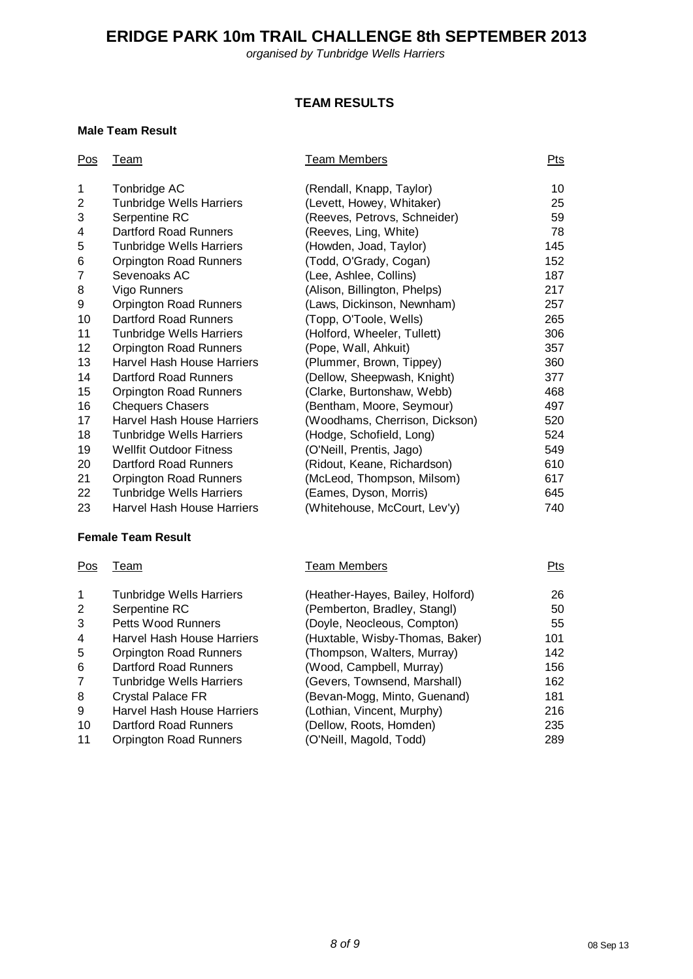*organised by Tunbridge Wells Harriers*

## **TEAM RESULTS**

#### **Male Team Result**

11 Orpington Road Runners

| Pos                     | <b>Team</b>                       | <b>Team Members</b>              | Pts |
|-------------------------|-----------------------------------|----------------------------------|-----|
| 1                       | Tonbridge AC                      | (Rendall, Knapp, Taylor)         | 10  |
| $\overline{\mathbf{c}}$ | <b>Tunbridge Wells Harriers</b>   | (Levett, Howey, Whitaker)        | 25  |
| 3                       | Serpentine RC                     | (Reeves, Petrovs, Schneider)     | 59  |
| 4                       | <b>Dartford Road Runners</b>      | (Reeves, Ling, White)            | 78  |
| 5                       | <b>Tunbridge Wells Harriers</b>   | (Howden, Joad, Taylor)           | 145 |
| 6                       | <b>Orpington Road Runners</b>     | (Todd, O'Grady, Cogan)           | 152 |
| $\overline{7}$          | Sevenoaks AC                      | (Lee, Ashlee, Collins)           | 187 |
| 8                       | Vigo Runners                      | (Alison, Billington, Phelps)     | 217 |
| 9                       | <b>Orpington Road Runners</b>     | (Laws, Dickinson, Newnham)       | 257 |
| 10                      | <b>Dartford Road Runners</b>      | (Topp, O'Toole, Wells)           | 265 |
| 11                      | <b>Tunbridge Wells Harriers</b>   | (Holford, Wheeler, Tullett)      | 306 |
| 12                      | <b>Orpington Road Runners</b>     | (Pope, Wall, Ahkuit)             | 357 |
| 13                      | <b>Harvel Hash House Harriers</b> | (Plummer, Brown, Tippey)         | 360 |
| 14                      | <b>Dartford Road Runners</b>      | (Dellow, Sheepwash, Knight)      | 377 |
| 15                      | <b>Orpington Road Runners</b>     | (Clarke, Burtonshaw, Webb)       | 468 |
| 16                      | <b>Chequers Chasers</b>           | (Bentham, Moore, Seymour)        | 497 |
| 17                      | Harvel Hash House Harriers        | (Woodhams, Cherrison, Dickson)   | 520 |
| 18                      | <b>Tunbridge Wells Harriers</b>   | (Hodge, Schofield, Long)         | 524 |
| 19                      | <b>Wellfit Outdoor Fitness</b>    | (O'Neill, Prentis, Jago)         | 549 |
| 20                      | <b>Dartford Road Runners</b>      | (Ridout, Keane, Richardson)      | 610 |
| 21                      | <b>Orpington Road Runners</b>     | (McLeod, Thompson, Milsom)       | 617 |
| 22                      | <b>Tunbridge Wells Harriers</b>   | (Eames, Dyson, Morris)           | 645 |
| 23                      | <b>Harvel Hash House Harriers</b> | (Whitehouse, McCourt, Lev'y)     | 740 |
|                         | <b>Female Team Result</b>         |                                  |     |
| Pos                     | <b>Team</b>                       | <b>Team Members</b>              | Pts |
| 1                       | <b>Tunbridge Wells Harriers</b>   | (Heather-Hayes, Bailey, Holford) | 26  |
| $\overline{\mathbf{c}}$ | Serpentine RC                     | (Pemberton, Bradley, Stangl)     | 50  |
| 3                       | <b>Petts Wood Runners</b>         | (Doyle, Neocleous, Compton)      | 55  |
| 4                       | <b>Harvel Hash House Harriers</b> | (Huxtable, Wisby-Thomas, Baker)  | 101 |
| 5                       | <b>Orpington Road Runners</b>     | (Thompson, Walters, Murray)      | 142 |
| 6                       | Dartford Road Runners             | (Wood, Campbell, Murray)         | 156 |
| 7                       | <b>Tunbridge Wells Harriers</b>   | (Gevers, Townsend, Marshall)     | 162 |
| 8                       | <b>Crystal Palace FR</b>          | (Bevan-Mogg, Minto, Guenand)     | 181 |

8 Crystal Palace FR (Bevan-Mogg, Minto, Guenand) 181 9 Harvel Hash House Harriers (Lothian, Vincent, Murphy) 216 10 Dartford Road Runners (Dellow, Roots, Homden) 235<br>11 Orpington Road Runners (O'Neill, Magold, Todd) 289